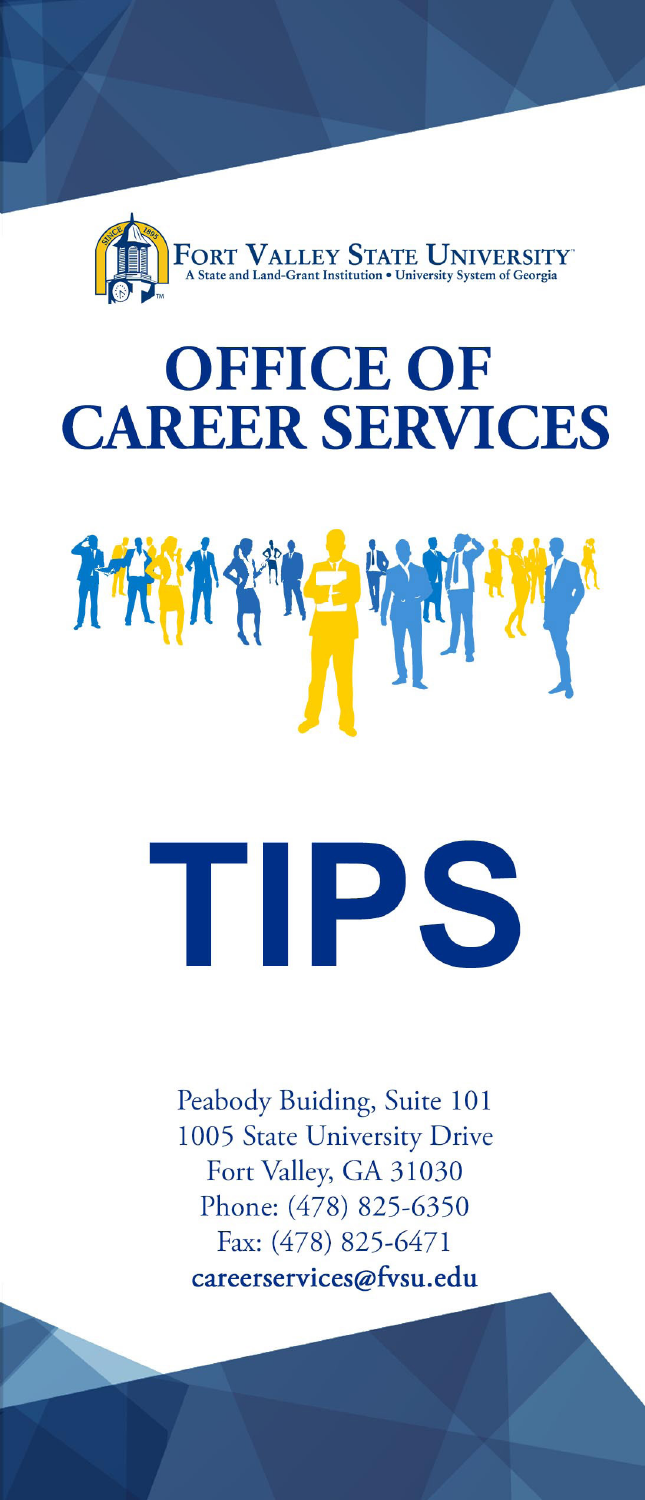

## **OFFICE OF CAREER SERVICES**



## TIPS

Peabody Buiding, Suite 101 1005 State University Drive Fort Valley, GA 31030 Phone: (478) 825-6350 Fax: (478) 825-6471 careerservices@fvsu.edu